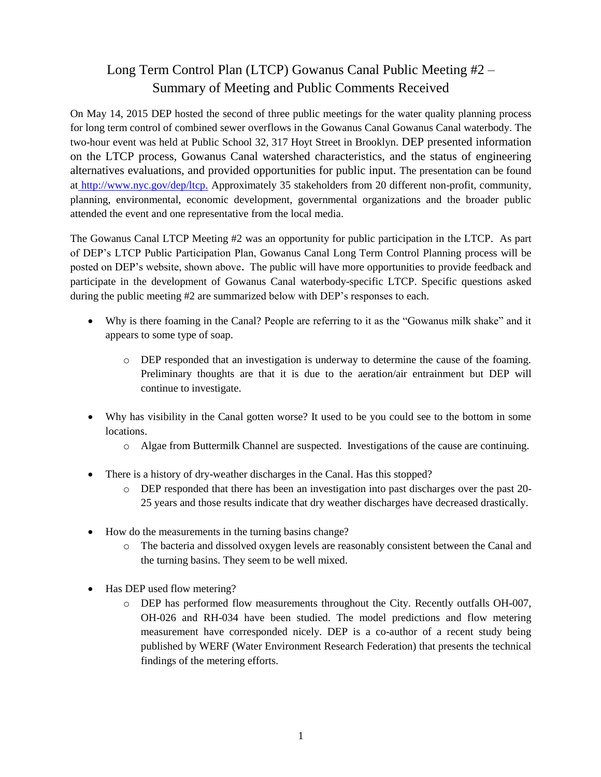## Long Term Control Plan (LTCP) Gowanus Canal Public Meeting #2 – Summary of Meeting and Public Comments Received

On May 14, 2015 DEP hosted the second of three public meetings for the water quality planning process for long term control of combined sewer overflows in the Gowanus Canal Gowanus Canal waterbody. The two-hour event was held at Public School 32, 317 Hoyt Street in Brooklyn. DEP presented information on the LTCP process, Gowanus Canal watershed characteristics, and the status of engineering alternatives evaluations, and provided opportunities for public input. The presentation can be found at [http://www.nyc.gov/dep/ltcp.](http://www.nyc.gov/dep/ltcp) Approximately 35 stakeholders from 20 different non-profit, community, planning, environmental, economic development, governmental organizations and the broader public attended the event and one representative from the local media.

The Gowanus Canal LTCP Meeting #2 was an opportunity for public participation in the LTCP. As part of DEP's LTCP Public Participation Plan, Gowanus Canal Long Term Control Planning process will be posted on DEP's website, shown above. The public will have more opportunities to provide feedback and participate in the development of Gowanus Canal waterbody-specific LTCP. Specific questions asked during the public meeting #2 are summarized below with DEP's responses to each.

- Why is there foaming in the Canal? People are referring to it as the "Gowanus milk shake" and it appears to some type of soap.
	- o DEP responded that an investigation is underway to determine the cause of the foaming. Preliminary thoughts are that it is due to the aeration/air entrainment but DEP will continue to investigate.
- Why has visibility in the Canal gotten worse? It used to be you could see to the bottom in some locations.
	- o Algae from Buttermilk Channel are suspected. Investigations of the cause are continuing.
- There is a history of dry-weather discharges in the Canal. Has this stopped?
	- o DEP responded that there has been an investigation into past discharges over the past 20- 25 years and those results indicate that dry weather discharges have decreased drastically.
- How do the measurements in the turning basins change?
	- o The bacteria and dissolved oxygen levels are reasonably consistent between the Canal and the turning basins. They seem to be well mixed.
- Has DEP used flow metering?
	- o DEP has performed flow measurements throughout the City. Recently outfalls OH-007, OH-026 and RH-034 have been studied. The model predictions and flow metering measurement have corresponded nicely. DEP is a co-author of a recent study being published by WERF (Water Environment Research Federation) that presents the technical findings of the metering efforts.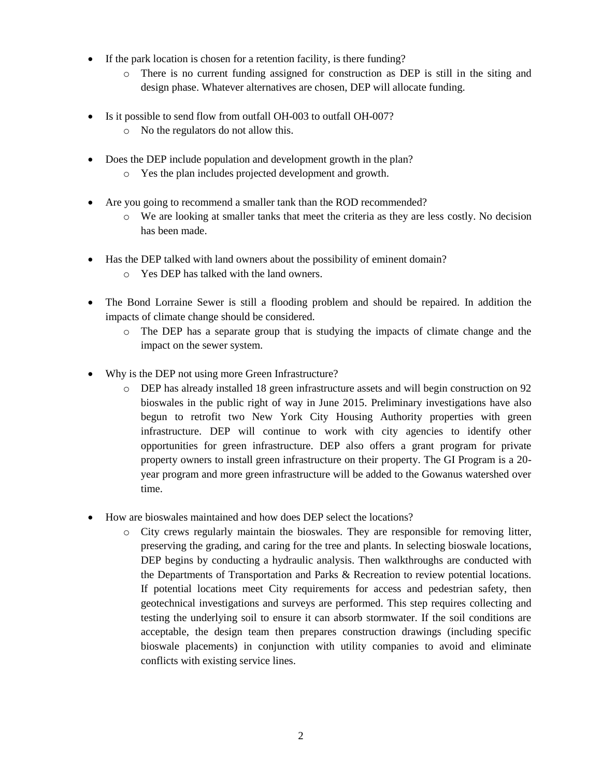- If the park location is chosen for a retention facility, is there funding?
	- o There is no current funding assigned for construction as DEP is still in the siting and design phase. Whatever alternatives are chosen, DEP will allocate funding.
- Is it possible to send flow from outfall OH-003 to outfall OH-007?
	- o No the regulators do not allow this.
- Does the DEP include population and development growth in the plan?
	- o Yes the plan includes projected development and growth.
- Are you going to recommend a smaller tank than the ROD recommended?
	- o We are looking at smaller tanks that meet the criteria as they are less costly. No decision has been made.
- Has the DEP talked with land owners about the possibility of eminent domain?
	- o Yes DEP has talked with the land owners.
- The Bond Lorraine Sewer is still a flooding problem and should be repaired. In addition the impacts of climate change should be considered.
	- o The DEP has a separate group that is studying the impacts of climate change and the impact on the sewer system.
- Why is the DEP not using more Green Infrastructure?
	- o DEP has already installed 18 green infrastructure assets and will begin construction on 92 bioswales in the public right of way in June 2015. Preliminary investigations have also begun to retrofit two New York City Housing Authority properties with green infrastructure. DEP will continue to work with city agencies to identify other opportunities for green infrastructure. DEP also offers a grant program for private property owners to install green infrastructure on their property. The GI Program is a 20 year program and more green infrastructure will be added to the Gowanus watershed over time.
- How are bioswales maintained and how does DEP select the locations?
	- o City crews regularly maintain the bioswales. They are responsible for removing litter, preserving the grading, and caring for the tree and plants. In selecting bioswale locations, DEP begins by conducting a hydraulic analysis. Then walkthroughs are conducted with the Departments of Transportation and Parks & Recreation to review potential locations. If potential locations meet City requirements for access and pedestrian safety, then geotechnical investigations and surveys are performed. This step requires collecting and testing the underlying soil to ensure it can absorb stormwater. If the soil conditions are acceptable, the design team then prepares construction drawings (including specific bioswale placements) in conjunction with utility companies to avoid and eliminate conflicts with existing service lines.